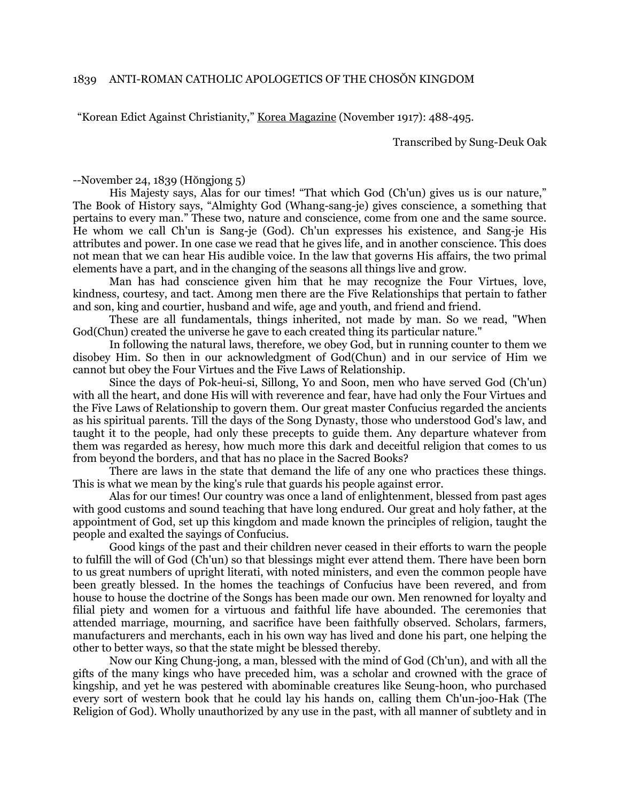"Korean Edict Against Christianity," Korea Magazine (November 1917): 488-495.

Transcribed by Sung-Deuk Oak

--November 24, 1839 (Hŏngjong 5)

His Majesty says, Alas for our times! "That which God (Ch'un) gives us is our nature," The Book of History says, "Almighty God (Whang-sang-je) gives conscience, a something that pertains to every man." These two, nature and conscience, come from one and the same source. He whom we call Ch'un is Sang-je (God). Ch'un expresses his existence, and Sang-je His attributes and power. In one case we read that he gives life, and in another conscience. This does not mean that we can hear His audible voice. In the law that governs His affairs, the two primal elements have a part, and in the changing of the seasons all things live and grow.

Man has had conscience given him that he may recognize the Four Virtues, love, kindness, courtesy, and tact. Among men there are the Five Relationships that pertain to father and son, king and courtier, husband and wife, age and youth, and friend and friend.

These are all fundamentals, things inherited, not made by man. So we read, "When God(Chun) created the universe he gave to each created thing its particular nature."

In following the natural laws, therefore, we obey God, but in running counter to them we disobey Him. So then in our acknowledgment of God(Chun) and in our service of Him we cannot but obey the Four Virtues and the Five Laws of Relationship.

Since the days of Pok-heui-si, Sillong, Yo and Soon, men who have served God (Ch'un) with all the heart, and done His will with reverence and fear, have had only the Four Virtues and the Five Laws of Relationship to govern them. Our great master Confucius regarded the ancients as his spiritual parents. Till the days of the Song Dynasty, those who understood God's law, and taught it to the people, had only these precepts to guide them. Any departure whatever from them was regarded as heresy, how much more this dark and deceitful religion that comes to us from beyond the borders, and that has no place in the Sacred Books?

There are laws in the state that demand the life of any one who practices these things. This is what we mean by the king's rule that guards his people against error.

Alas for our times! Our country was once a land of enlightenment, blessed from past ages with good customs and sound teaching that have long endured. Our great and holy father, at the appointment of God, set up this kingdom and made known the principles of religion, taught the people and exalted the sayings of Confucius.

Good kings of the past and their children never ceased in their efforts to warn the people to fulfill the will of God (Ch'un) so that blessings might ever attend them. There have been born to us great numbers of upright literati, with noted ministers, and even the common people have been greatly blessed. In the homes the teachings of Confucius have been revered, and from house to house the doctrine of the Songs has been made our own. Men renowned for loyalty and filial piety and women for a virtuous and faithful life have abounded. The ceremonies that attended marriage, mourning, and sacrifice have been faithfully observed. Scholars, farmers, manufacturers and merchants, each in his own way has lived and done his part, one helping the other to better ways, so that the state might be blessed thereby.

Now our King Chung-jong, a man, blessed with the mind of God (Ch'un), and with all the gifts of the many kings who have preceded him, was a scholar and crowned with the grace of kingship, and yet he was pestered with abominable creatures like Seung-hoon, who purchased every sort of western book that he could lay his hands on, calling them Ch'un-joo-Hak (The Religion of God). Wholly unauthorized by any use in the past, with all manner of subtlety and in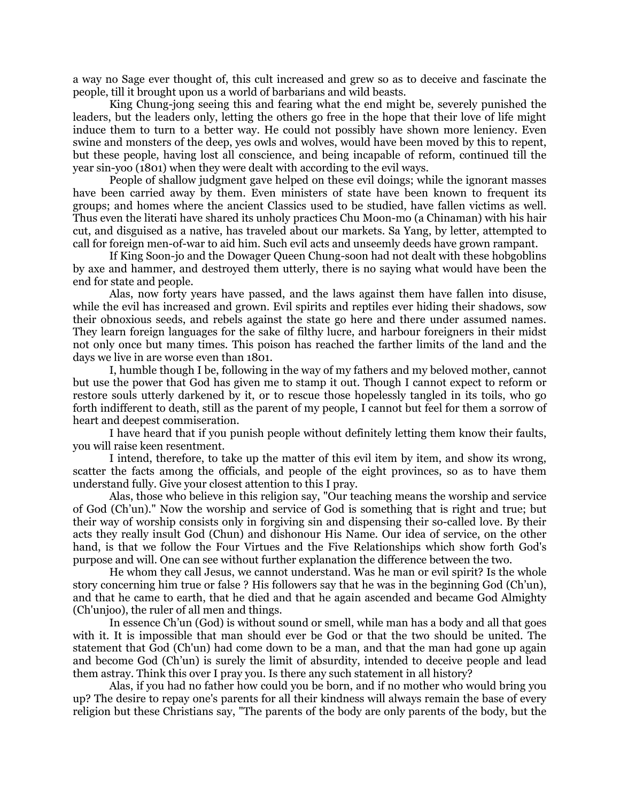a way no Sage ever thought of, this cult increased and grew so as to deceive and fascinate the people, till it brought upon us a world of barbarians and wild beasts.

King Chung-jong seeing this and fearing what the end might be, severely punished the leaders, but the leaders only, letting the others go free in the hope that their love of life might induce them to turn to a better way. He could not possibly have shown more leniency. Even swine and monsters of the deep, yes owls and wolves, would have been moved by this to repent, but these people, having lost all conscience, and being incapable of reform, continued till the year sin-yoo (1801) when they were dealt with according to the evil ways.

People of shallow judgment gave helped on these evil doings; while the ignorant masses have been carried away by them. Even ministers of state have been known to frequent its groups; and homes where the ancient Classics used to be studied, have fallen victims as well. Thus even the literati have shared its unholy practices Chu Moon-mo (a Chinaman) with his hair cut, and disguised as a native, has traveled about our markets. Sa Yang, by letter, attempted to call for foreign men-of-war to aid him. Such evil acts and unseemly deeds have grown rampant.

If King Soon-jo and the Dowager Queen Chung-soon had not dealt with these hobgoblins by axe and hammer, and destroyed them utterly, there is no saying what would have been the end for state and people.

Alas, now forty years have passed, and the laws against them have fallen into disuse, while the evil has increased and grown. Evil spirits and reptiles ever hiding their shadows, sow their obnoxious seeds, and rebels against the state go here and there under assumed names. They learn foreign languages for the sake of filthy lucre, and harbour foreigners in their midst not only once but many times. This poison has reached the farther limits of the land and the days we live in are worse even than 1801.

 I, humble though I be, following in the way of my fathers and my beloved mother, cannot but use the power that God has given me to stamp it out. Though I cannot expect to reform or restore souls utterly darkened by it, or to rescue those hopelessly tangled in its toils, who go forth indifferent to death, still as the parent of my people, I cannot but feel for them a sorrow of heart and deepest commiseration.

I have heard that if you punish people without definitely letting them know their faults, you will raise keen resentment.

I intend, therefore, to take up the matter of this evil item by item, and show its wrong, scatter the facts among the officials, and people of the eight provinces, so as to have them understand fully. Give your closest attention to this I pray.

Alas, those who believe in this religion say, "Our teaching means the worship and service of God (Ch'un)." Now the worship and service of God is something that is right and true; but their way of worship consists only in forgiving sin and dispensing their so-called love. By their acts they really insult God (Chun) and dishonour His Name. Our idea of service, on the other hand, is that we follow the Four Virtues and the Five Relationships which show forth God's purpose and will. One can see without further explanation the difference between the two.

He whom they call Jesus, we cannot understand. Was he man or evil spirit? Is the whole story concerning him true or false ? His followers say that he was in the beginning God (Ch'un), and that he came to earth, that he died and that he again ascended and became God Almighty (Ch'unjoo), the ruler of all men and things.

In essence Ch'un (God) is without sound or smell, while man has a body and all that goes with it. It is impossible that man should ever be God or that the two should be united. The statement that God (Ch'un) had come down to be a man, and that the man had gone up again and become God (Ch'un) is surely the limit of absurdity, intended to deceive people and lead them astray. Think this over I pray you. Is there any such statement in all history?

Alas, if you had no father how could you be born, and if no mother who would bring you up? The desire to repay one's parents for all their kindness will always remain the base of every religion but these Christians say, "The parents of the body are only parents of the body, but the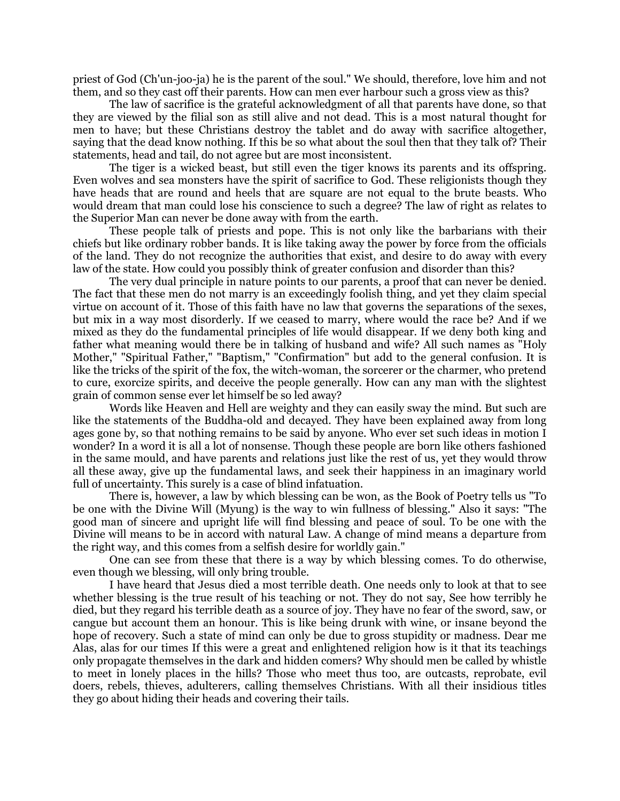priest of God (Ch'un-joo-ja) he is the parent of the soul." We should, therefore, love him and not them, and so they cast off their parents. How can men ever harbour such a gross view as this?

The law of sacrifice is the grateful acknowledgment of all that parents have done, so that they are viewed by the filial son as still alive and not dead. This is a most natural thought for men to have; but these Christians destroy the tablet and do away with sacrifice altogether, saying that the dead know nothing. If this be so what about the soul then that they talk of? Their statements, head and tail, do not agree but are most inconsistent.

The tiger is a wicked beast, but still even the tiger knows its parents and its offspring. Even wolves and sea monsters have the spirit of sacrifice to God. These religionists though they have heads that are round and heels that are square are not equal to the brute beasts. Who would dream that man could lose his conscience to such a degree? The law of right as relates to the Superior Man can never be done away with from the earth.

These people talk of priests and pope. This is not only like the barbarians with their chiefs but like ordinary robber bands. It is like taking away the power by force from the officials of the land. They do not recognize the authorities that exist, and desire to do away with every law of the state. How could you possibly think of greater confusion and disorder than this?

The very dual principle in nature points to our parents, a proof that can never be denied. The fact that these men do not marry is an exceedingly foolish thing, and yet they claim special virtue on account of it. Those of this faith have no law that governs the separations of the sexes, but mix in a way most disorderly. If we ceased to marry, where would the race be? And if we mixed as they do the fundamental principles of life would disappear. If we deny both king and father what meaning would there be in talking of husband and wife? All such names as "Holy Mother," "Spiritual Father," "Baptism," "Confirmation" but add to the general confusion. It is like the tricks of the spirit of the fox, the witch-woman, the sorcerer or the charmer, who pretend to cure, exorcize spirits, and deceive the people generally. How can any man with the slightest grain of common sense ever let himself be so led away?

Words like Heaven and Hell are weighty and they can easily sway the mind. But such are like the statements of the Buddha-old and decayed. They have been explained away from long ages gone by, so that nothing remains to be said by anyone. Who ever set such ideas in motion I wonder? In a word it is all a lot of nonsense. Though these people are born like others fashioned in the same mould, and have parents and relations just like the rest of us, yet they would throw all these away, give up the fundamental laws, and seek their happiness in an imaginary world full of uncertainty. This surely is a case of blind infatuation.

There is, however, a law by which blessing can be won, as the Book of Poetry tells us "To be one with the Divine Will (Myung) is the way to win fullness of blessing." Also it says: "The good man of sincere and upright life will find blessing and peace of soul. To be one with the Divine will means to be in accord with natural Law. A change of mind means a departure from the right way, and this comes from a selfish desire for worldly gain."

One can see from these that there is a way by which blessing comes. To do otherwise, even though we blessing, will only bring trouble.

I have heard that Jesus died a most terrible death. One needs only to look at that to see whether blessing is the true result of his teaching or not. They do not say, See how terribly he died, but they regard his terrible death as a source of joy. They have no fear of the sword, saw, or cangue but account them an honour. This is like being drunk with wine, or insane beyond the hope of recovery. Such a state of mind can only be due to gross stupidity or madness. Dear me Alas, alas for our times If this were a great and enlightened religion how is it that its teachings only propagate themselves in the dark and hidden comers? Why should men be called by whistle to meet in lonely places in the hills? Those who meet thus too, are outcasts, reprobate, evil doers, rebels, thieves, adulterers, calling themselves Christians. With all their insidious titles they go about hiding their heads and covering their tails.